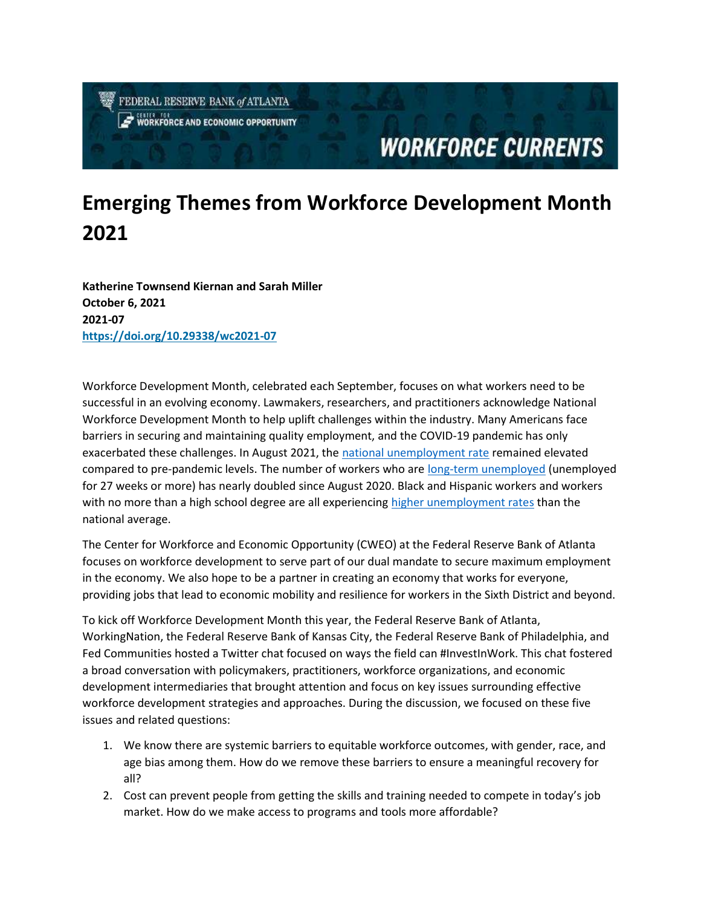FEDERAL RESERVE BANK of ATLANTA **CENTRATION**<br>WORKFORCE AND ECONOMIC OPPORTUNITY

## **WORKFORCE CURRENTS**

## Emerging Themes from Workforce Development Month 2021

Katherine Townsend Kiernan and Sarah Miller October 6, 2021 2021-07 https://doi.org/10.29338/wc2021-07

Workforce Development Month, celebrated each September, focuses on what workers need to be successful in an evolving economy. Lawmakers, researchers, and practitioners acknowledge National Workforce Development Month to help uplift challenges within the industry. Many Americans face barriers in securing and maintaining quality employment, and the COVID-19 pandemic has only exacerbated these challenges. In August 2021, the national unemployment rate remained elevated compared to pre-pandemic levels. The number of workers who are long-term unemployed (unemployed for 27 weeks or more) has nearly doubled since August 2020. Black and Hispanic workers and workers with no more than a high school degree are all experiencing higher unemployment rates than the national average.

The Center for Workforce and Economic Opportunity (CWEO) at the Federal Reserve Bank of Atlanta focuses on workforce development to serve part of our dual mandate to secure maximum employment in the economy. We also hope to be a partner in creating an economy that works for everyone, providing jobs that lead to economic mobility and resilience for workers in the Sixth District and beyond.

To kick off Workforce Development Month this year, the Federal Reserve Bank of Atlanta, WorkingNation, the Federal Reserve Bank of Kansas City, the Federal Reserve Bank of Philadelphia, and Fed Communities hosted a Twitter chat focused on ways the field can #InvestInWork. This chat fostered a broad conversation with policymakers, practitioners, workforce organizations, and economic development intermediaries that brought attention and focus on key issues surrounding effective workforce development strategies and approaches. During the discussion, we focused on these five issues and related questions:

- 1. We know there are systemic barriers to equitable workforce outcomes, with gender, race, and age bias among them. How do we remove these barriers to ensure a meaningful recovery for all?
- 2. Cost can prevent people from getting the skills and training needed to compete in today's job market. How do we make access to programs and tools more affordable?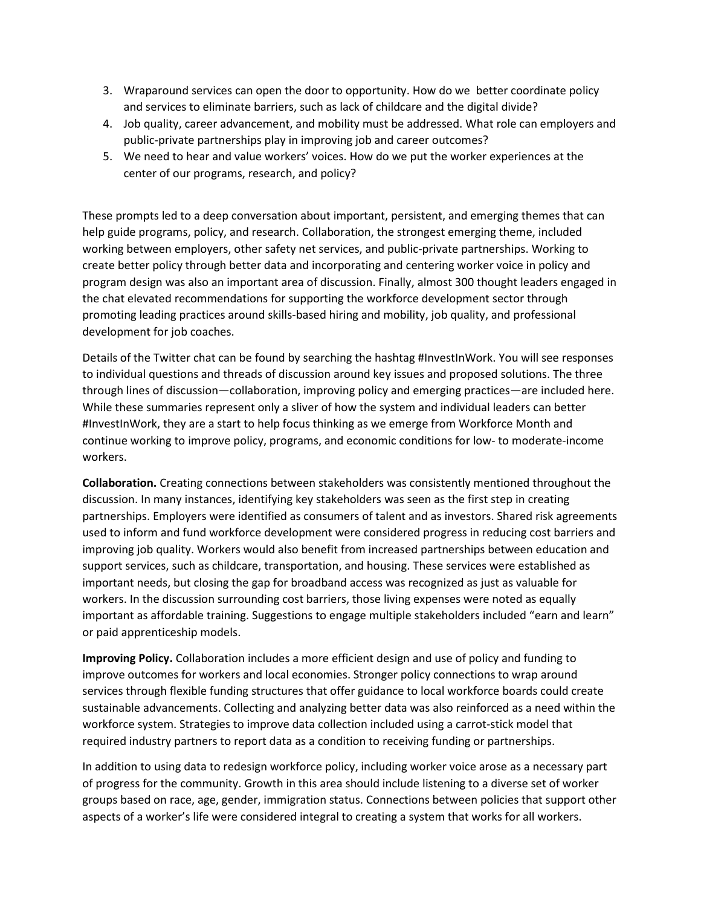- 3. Wraparound services can open the door to opportunity. How do we better coordinate policy and services to eliminate barriers, such as lack of childcare and the digital divide?
- 4. Job quality, career advancement, and mobility must be addressed. What role can employers and public-private partnerships play in improving job and career outcomes?
- 5. We need to hear and value workers' voices. How do we put the worker experiences at the center of our programs, research, and policy?

These prompts led to a deep conversation about important, persistent, and emerging themes that can help guide programs, policy, and research. Collaboration, the strongest emerging theme, included working between employers, other safety net services, and public-private partnerships. Working to create better policy through better data and incorporating and centering worker voice in policy and program design was also an important area of discussion. Finally, almost 300 thought leaders engaged in the chat elevated recommendations for supporting the workforce development sector through promoting leading practices around skills-based hiring and mobility, job quality, and professional development for job coaches.

Details of the Twitter chat can be found by searching the hashtag #InvestInWork. You will see responses to individual questions and threads of discussion around key issues and proposed solutions. The three through lines of discussion—collaboration, improving policy and emerging practices—are included here. While these summaries represent only a sliver of how the system and individual leaders can better #InvestInWork, they are a start to help focus thinking as we emerge from Workforce Month and continue working to improve policy, programs, and economic conditions for low- to moderate-income workers.

Collaboration. Creating connections between stakeholders was consistently mentioned throughout the discussion. In many instances, identifying key stakeholders was seen as the first step in creating partnerships. Employers were identified as consumers of talent and as investors. Shared risk agreements used to inform and fund workforce development were considered progress in reducing cost barriers and improving job quality. Workers would also benefit from increased partnerships between education and support services, such as childcare, transportation, and housing. These services were established as important needs, but closing the gap for broadband access was recognized as just as valuable for workers. In the discussion surrounding cost barriers, those living expenses were noted as equally important as affordable training. Suggestions to engage multiple stakeholders included "earn and learn" or paid apprenticeship models.

Improving Policy. Collaboration includes a more efficient design and use of policy and funding to improve outcomes for workers and local economies. Stronger policy connections to wrap around services through flexible funding structures that offer guidance to local workforce boards could create sustainable advancements. Collecting and analyzing better data was also reinforced as a need within the workforce system. Strategies to improve data collection included using a carrot-stick model that required industry partners to report data as a condition to receiving funding or partnerships.

In addition to using data to redesign workforce policy, including worker voice arose as a necessary part of progress for the community. Growth in this area should include listening to a diverse set of worker groups based on race, age, gender, immigration status. Connections between policies that support other aspects of a worker's life were considered integral to creating a system that works for all workers.